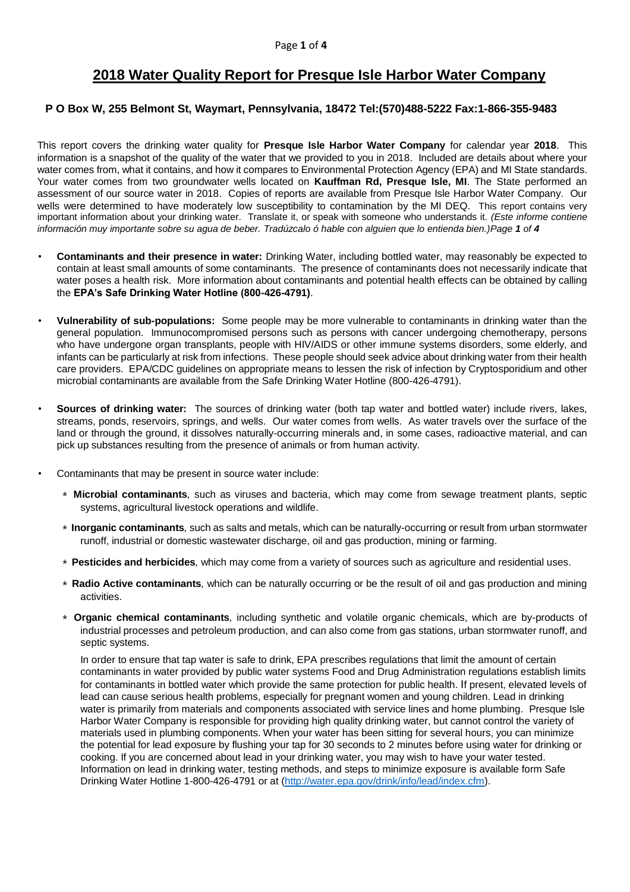# **2018 Water Quality Report for Presque Isle Harbor Water Company**

#### **P O Box W, 255 Belmont St, Waymart, Pennsylvania, 18472 Tel:(570)488-5222 Fax:1-866-355-9483**

This report covers the drinking water quality for **Presque Isle Harbor Water Company** for calendar year **2018**. This information is a snapshot of the quality of the water that we provided to you in 2018. Included are details about where your water comes from, what it contains, and how it compares to Environmental Protection Agency (EPA) and MI State standards. Your water comes from two groundwater wells located on **Kauffman Rd, Presque Isle, MI**. The State performed an assessment of our source water in 2018. Copies of reports are available from Presque Isle Harbor Water Company. Our wells were determined to have moderately low susceptibility to contamination by the MI DEQ. This report contains very important information about your drinking water. Translate it, or speak with someone who understands it. *(Este informe contiene información muy importante sobre su agua de beber. Tradúzcalo ó hable con alguien que lo entienda bien.)Page 1 of 4*

- **Contaminants and their presence in water:** Drinking Water, including bottled water, may reasonably be expected to contain at least small amounts of some contaminants. The presence of contaminants does not necessarily indicate that water poses a health risk. More information about contaminants and potential health effects can be obtained by calling the **EPA's Safe Drinking Water Hotline (800-426-4791)**.
- **Vulnerability of sub-populations:** Some people may be more vulnerable to contaminants in drinking water than the general population. Immunocompromised persons such as persons with cancer undergoing chemotherapy, persons who have undergone organ transplants, people with HIV/AIDS or other immune systems disorders, some elderly, and infants can be particularly at risk from infections. These people should seek advice about drinking water from their health care providers. EPA/CDC guidelines on appropriate means to lessen the risk of infection by Cryptosporidium and other microbial contaminants are available from the Safe Drinking Water Hotline (800-426-4791).
- **Sources of drinking water:** The sources of drinking water (both tap water and bottled water) include rivers, lakes, streams, ponds, reservoirs, springs, and wells. Our water comes from wells. As water travels over the surface of the land or through the ground, it dissolves naturally-occurring minerals and, in some cases, radioactive material, and can pick up substances resulting from the presence of animals or from human activity.
- Contaminants that may be present in source water include:
	- ∗ **Microbial contaminants***,* such as viruses and bacteria, which may come from sewage treatment plants, septic systems, agricultural livestock operations and wildlife.
	- ∗ **Inorganic contaminants***,* such as salts and metals, which can be naturally-occurring or result from urban stormwater runoff, industrial or domestic wastewater discharge, oil and gas production, mining or farming.
	- ∗ **Pesticides and herbicides***,* which may come from a variety of sources such as agriculture and residential uses.
	- ∗ **Radio Active contaminants***,* which can be naturally occurring or be the result of oil and gas production and mining activities.
	- ∗ **Organic chemical contaminants***,* including synthetic and volatile organic chemicals, which are by-products of industrial processes and petroleum production, and can also come from gas stations, urban stormwater runoff, and septic systems.

In order to ensure that tap water is safe to drink, EPA prescribes regulations that limit the amount of certain contaminants in water provided by public water systems Food and Drug Administration regulations establish limits for contaminants in bottled water which provide the same protection for public health. If present, elevated levels of lead can cause serious health problems, especially for pregnant women and young children. Lead in drinking water is primarily from materials and components associated with service lines and home plumbing. Presque Isle Harbor Water Company is responsible for providing high quality drinking water, but cannot control the variety of materials used in plumbing components. When your water has been sitting for several hours, you can minimize the potential for lead exposure by flushing your tap for 30 seconds to 2 minutes before using water for drinking or cooking. If you are concerned about lead in your drinking water, you may wish to have your water tested. Information on lead in drinking water, testing methods, and steps to minimize exposure is available form Safe Drinking Water Hotline 1-800-426-4791 or at [\(http://water.epa.gov/drink/info/lead/index.cfm\)](http://water.epa.gov/drink/info/lead/index.cfm).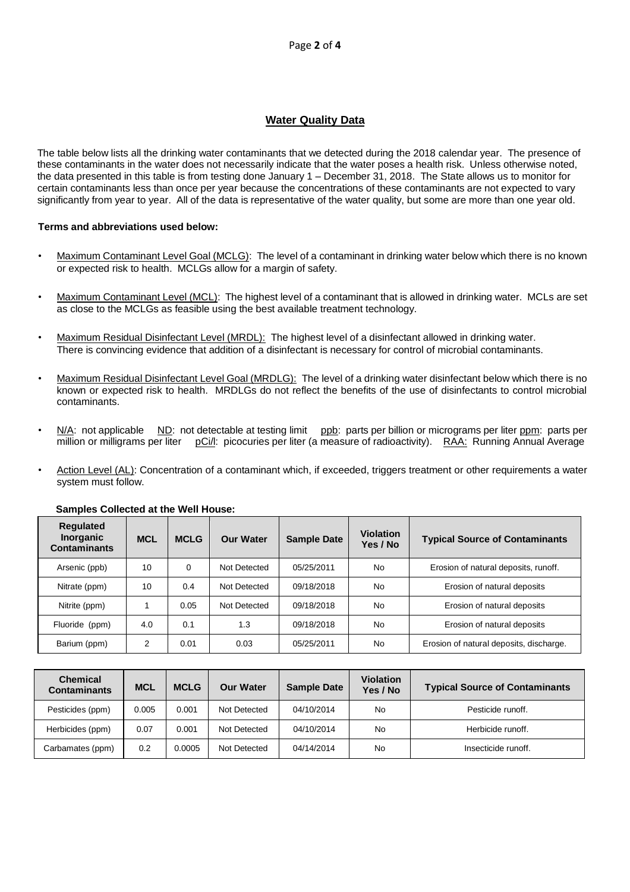### **Water Quality Data**

The table below lists all the drinking water contaminants that we detected during the 2018 calendar year. The presence of these contaminants in the water does not necessarily indicate that the water poses a health risk. Unless otherwise noted, the data presented in this table is from testing done January 1 – December 31, 2018. The State allows us to monitor for certain contaminants less than once per year because the concentrations of these contaminants are not expected to vary significantly from year to year. All of the data is representative of the water quality, but some are more than one year old.

#### **Terms and abbreviations used below:**

- Maximum Contaminant Level Goal (MCLG): The level of a contaminant in drinking water below which there is no known or expected risk to health. MCLGs allow for a margin of safety.
- Maximum Contaminant Level (MCL): The highest level of a contaminant that is allowed in drinking water. MCLs are set as close to the MCLGs as feasible using the best available treatment technology.
- Maximum Residual Disinfectant Level (MRDL): The highest level of a disinfectant allowed in drinking water. There is convincing evidence that addition of a disinfectant is necessary for control of microbial contaminants.
- Maximum Residual Disinfectant Level Goal (MRDLG): The level of a drinking water disinfectant below which there is no known or expected risk to health. MRDLGs do not reflect the benefits of the use of disinfectants to control microbial contaminants.
- N/A: not applicable ND: not detectable at testing limit ppb: parts per billion or micrograms per liter ppm: parts per million or milligrams per liter pCi/l: picocuries per liter (a measure of radioactivity). RAA: Running Annual Average
- Action Level (AL): Concentration of a contaminant which, if exceeded, triggers treatment or other requirements a water system must follow.

| <b>Regulated</b><br><b>Inorganic</b><br><b>Contaminants</b> | <b>MCL</b> | <b>MCLG</b> | <b>Our Water</b> | <b>Sample Date</b> | <b>Violation</b><br>Yes / No | <b>Typical Source of Contaminants</b>   |
|-------------------------------------------------------------|------------|-------------|------------------|--------------------|------------------------------|-----------------------------------------|
| Arsenic (ppb)                                               | 10         | 0           | Not Detected     | 05/25/2011         | <b>No</b>                    | Erosion of natural deposits, runoff.    |
| Nitrate (ppm)                                               | 10         | 0.4         | Not Detected     | 09/18/2018         | No                           | Erosion of natural deposits             |
| Nitrite (ppm)                                               |            | 0.05        | Not Detected     | 09/18/2018         | <b>No</b>                    | Erosion of natural deposits             |
| Fluoride (ppm)                                              | 4.0        | 0.1         | 1.3              | 09/18/2018         | <b>No</b>                    | Erosion of natural deposits             |
| Barium (ppm)                                                | ົ          | 0.01        | 0.03             | 05/25/2011         | No                           | Erosion of natural deposits, discharge. |

#### **Samples Collected at the Well House:**

| <b>Chemical</b><br><b>Contaminants</b> | <b>MCL</b> | <b>MCLG</b> | <b>Our Water</b> | <b>Sample Date</b> | <b>Violation</b><br>Yes / No | <b>Typical Source of Contaminants</b> |
|----------------------------------------|------------|-------------|------------------|--------------------|------------------------------|---------------------------------------|
| Pesticides (ppm)                       | 0.005      | 0.001       | Not Detected     | 04/10/2014         | No                           | Pesticide runoff.                     |
| Herbicides (ppm)                       | 0.07       | 0.001       | Not Detected     | 04/10/2014         | <b>No</b>                    | Herbicide runoff.                     |
| Carbamates (ppm)                       | 0.2        | 0.0005      | Not Detected     | 04/14/2014         | No                           | Insecticide runoff.                   |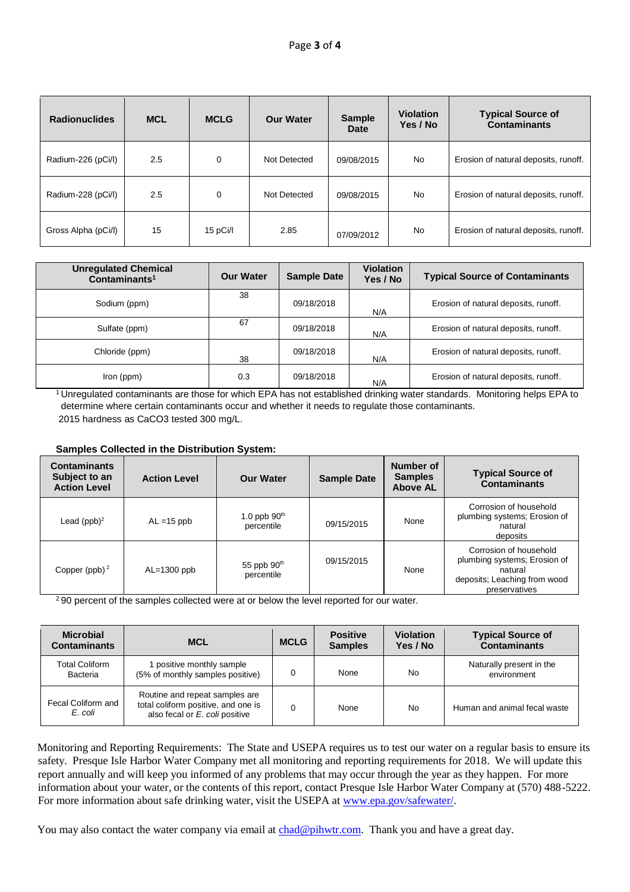| <b>Radionuclides</b> | <b>MCL</b> | <b>MCLG</b> | <b>Our Water</b> | <b>Sample</b><br>Date | <b>Violation</b><br>Yes / No | <b>Typical Source of</b><br><b>Contaminants</b> |
|----------------------|------------|-------------|------------------|-----------------------|------------------------------|-------------------------------------------------|
| Radium-226 (pCi/l)   | 2.5        | 0           | Not Detected     | 09/08/2015            | No                           | Erosion of natural deposits, runoff.            |
| Radium-228 (pCi/l)   | 2.5        | 0           | Not Detected     | 09/08/2015            | No                           | Erosion of natural deposits, runoff.            |
| Gross Alpha (pCi/l)  | 15         | 15pCi/l     | 2.85             | 07/09/2012            | No                           | Erosion of natural deposits, runoff.            |

| <b>Unregulated Chemical</b><br>Contaminants <sup>1</sup> | <b>Our Water</b> | <b>Sample Date</b> | <b>Violation</b><br>Yes / No | <b>Typical Source of Contaminants</b> |
|----------------------------------------------------------|------------------|--------------------|------------------------------|---------------------------------------|
| Sodium (ppm)                                             | 38               | 09/18/2018         | N/A                          | Erosion of natural deposits, runoff.  |
| Sulfate (ppm)                                            | 67               | 09/18/2018         | N/A                          | Erosion of natural deposits, runoff.  |
| Chloride (ppm)                                           | 38               | 09/18/2018         | N/A                          | Erosion of natural deposits, runoff.  |
| Iron (ppm)                                               | 0.3              | 09/18/2018         | N/A                          | Erosion of natural deposits, runoff.  |

<sup>1</sup> Unregulated contaminants are those for which EPA has not established drinking water standards. Monitoring helps EPA to determine where certain contaminants occur and whether it needs to regulate those contaminants. 2015 hardness as CaCO3 tested 300 mg/L.

#### **Samples Collected in the Distribution System:**

| <b>Contaminants</b><br>Subject to an<br><b>Action Level</b> | <b>Action Level</b> | <b>Our Water</b>             | <b>Sample Date</b> | Number of<br><b>Samples</b><br><b>Above AL</b> | <b>Typical Source of</b><br><b>Contaminants</b>                                                                    |
|-------------------------------------------------------------|---------------------|------------------------------|--------------------|------------------------------------------------|--------------------------------------------------------------------------------------------------------------------|
| Lead $(ppb)^2$                                              | $AL = 15$ ppb       | 1.0 ppb $90th$<br>percentile | 09/15/2015         | None                                           | Corrosion of household<br>plumbing systems; Erosion of<br>natural<br>deposits                                      |
| Copper (ppb) $2$                                            | $AL=1300$ ppb       | 55 ppb $90th$<br>percentile  | 09/15/2015         | None                                           | Corrosion of household<br>plumbing systems; Erosion of<br>natural<br>deposits; Leaching from wood<br>preservatives |

<sup>2</sup>90 percent of the samples collected were at or below the level reported for our water.

| <b>Microbial</b><br><b>Contaminants</b> | <b>MCL</b>                                                                                              | <b>MCLG</b> | <b>Positive</b><br><b>Samples</b> | <b>Violation</b><br>Yes / No | <b>Typical Source of</b><br><b>Contaminants</b> |
|-----------------------------------------|---------------------------------------------------------------------------------------------------------|-------------|-----------------------------------|------------------------------|-------------------------------------------------|
| <b>Total Coliform</b><br>Bacteria       | positive monthly sample<br>(5% of monthly samples positive)                                             |             | None                              | No                           | Naturally present in the<br>environment         |
| Fecal Coliform and<br>E. coli           | Routine and repeat samples are<br>total coliform positive, and one is<br>also fecal or E. coli positive | $\Omega$    | None                              | No                           | Human and animal fecal waste                    |

Monitoring and Reporting Requirements: The State and USEPA requires us to test our water on a regular basis to ensure its safety. Presque Isle Harbor Water Company met all monitoring and reporting requirements for 2018. We will update this report annually and will keep you informed of any problems that may occur through the year as they happen. For more information about your water, or the contents of this report, contact Presque Isle Harbor Water Company at (570) 488-5222. For more information about safe drinking water, visit the USEPA at www.epa.gov/safewater/.

You may also contact the water company via email at chad@pihwtr.com. Thank you and have a great day.